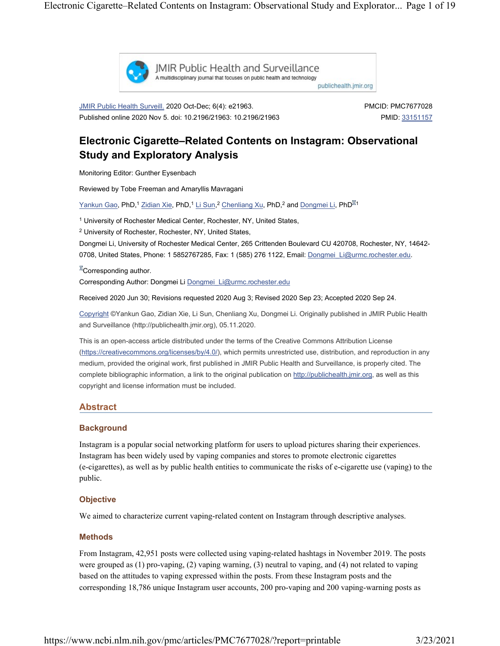

**IMIR Public Health and Surveillance** A multidisciplinary journal that focuses on public health and technology

publichealth.jmir.org

JMIR Public Health Surveill. 2020 Oct-Dec; 6(4): e21963. Published online 2020 Nov 5. doi: 10.2196/21963: 10.2196/21963 PMCID: PMC7677028 PMID: 33151157

# Electronic Cigarette–Related Contents on Instagram: Observational Study and Exploratory Analysis

Monitoring Editor: Gunther Eysenbach

Reviewed by Tobe Freeman and Amaryllis Mavragani

Yankun G<u>ao,</u> PhD,<sup>1</sup> Zidian Xie, PhD,<sup>1</sup> Li Sun,<sup>2</sup> Chenliang Xu, PhD,<sup>2</sup> and <u>Dongmei Li,</u> PhD<sup>⊠1</sup>

<sup>1</sup> University of Rochester Medical Center, Rochester, NY, United States,

<sup>2</sup> University of Rochester, Rochester, NY, United States,

Dongmei Li, University of Rochester Medical Center, 265 Crittenden Boulevard CU 420708, Rochester, NY, 14642- 0708, United States, Phone: 1 5852767285, Fax: 1 (585) 276 1122, Email: Dongmei Li@urmc.rochester.edu.

 ${}^{\mathbb{Z}}$ Corresponding author. Corresponding Author: Dongmei Li Dongmei\_Li@urmc.rochester.edu

Received 2020 Jun 30; Revisions requested 2020 Aug 3; Revised 2020 Sep 23; Accepted 2020 Sep 24.

Copyright ©Yankun Gao, Zidian Xie, Li Sun, Chenliang Xu, Dongmei Li. Originally published in JMIR Public Health and Surveillance (http://publichealth.jmir.org), 05.11.2020.

This is an open-access article distributed under the terms of the Creative Commons Attribution License (https://creativecommons.org/licenses/by/4.0/), which permits unrestricted use, distribution, and reproduction in any medium, provided the original work, first published in JMIR Public Health and Surveillance, is properly cited. The complete bibliographic information, a link to the original publication on http://publichealth.jmir.org, as well as this copyright and license information must be included.

# Abstract

#### **Background**

Instagram is a popular social networking platform for users to upload pictures sharing their experiences. Instagram has been widely used by vaping companies and stores to promote electronic cigarettes (e-cigarettes), as well as by public health entities to communicate the risks of e-cigarette use (vaping) to the public.

# **Objective**

We aimed to characterize current vaping-related content on Instagram through descriptive analyses.

#### Methods

From Instagram, 42,951 posts were collected using vaping-related hashtags in November 2019. The posts were grouped as (1) pro-vaping, (2) vaping warning, (3) neutral to vaping, and (4) not related to vaping based on the attitudes to vaping expressed within the posts. From these Instagram posts and the corresponding 18,786 unique Instagram user accounts, 200 pro-vaping and 200 vaping-warning posts as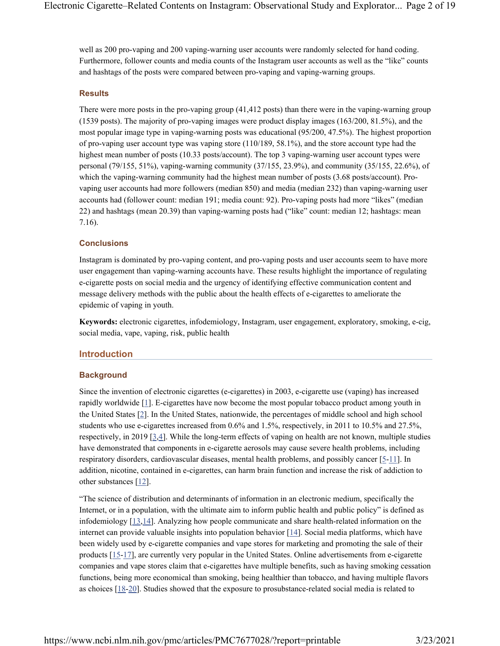well as 200 pro-vaping and 200 vaping-warning user accounts were randomly selected for hand coding. Furthermore, follower counts and media counts of the Instagram user accounts as well as the "like" counts and hashtags of the posts were compared between pro-vaping and vaping-warning groups.

#### **Results**

There were more posts in the pro-vaping group (41,412 posts) than there were in the vaping-warning group (1539 posts). The majority of pro-vaping images were product display images (163/200, 81.5%), and the most popular image type in vaping-warning posts was educational (95/200, 47.5%). The highest proportion of pro-vaping user account type was vaping store (110/189, 58.1%), and the store account type had the highest mean number of posts (10.33 posts/account). The top 3 vaping-warning user account types were personal (79/155, 51%), vaping-warning community (37/155, 23.9%), and community (35/155, 22.6%), of which the vaping-warning community had the highest mean number of posts (3.68 posts/account). Provaping user accounts had more followers (median 850) and media (median 232) than vaping-warning user accounts had (follower count: median 191; media count: 92). Pro-vaping posts had more "likes" (median 22) and hashtags (mean 20.39) than vaping-warning posts had ("like" count: median 12; hashtags: mean 7.16).

# **Conclusions**

Instagram is dominated by pro-vaping content, and pro-vaping posts and user accounts seem to have more user engagement than vaping-warning accounts have. These results highlight the importance of regulating e-cigarette posts on social media and the urgency of identifying effective communication content and message delivery methods with the public about the health effects of e-cigarettes to ameliorate the epidemic of vaping in youth.

Keywords: electronic cigarettes, infodemiology, Instagram, user engagement, exploratory, smoking, e-cig, social media, vape, vaping, risk, public health

#### Introduction

#### **Background**

Since the invention of electronic cigarettes (e-cigarettes) in 2003, e-cigarette use (vaping) has increased rapidly worldwide [1]. E-cigarettes have now become the most popular tobacco product among youth in the United States [2]. In the United States, nationwide, the percentages of middle school and high school students who use e-cigarettes increased from 0.6% and 1.5%, respectively, in 2011 to 10.5% and 27.5%, respectively, in 2019 [3,4]. While the long-term effects of vaping on health are not known, multiple studies have demonstrated that components in e-cigarette aerosols may cause severe health problems, including respiratory disorders, cardiovascular diseases, mental health problems, and possibly cancer  $[5-1]$ . In addition, nicotine, contained in e-cigarettes, can harm brain function and increase the risk of addiction to other substances [12].

"The science of distribution and determinants of information in an electronic medium, specifically the Internet, or in a population, with the ultimate aim to inform public health and public policy" is defined as infodemiology [13,14]. Analyzing how people communicate and share health-related information on the internet can provide valuable insights into population behavior  $[14]$ . Social media platforms, which have been widely used by e-cigarette companies and vape stores for marketing and promoting the sale of their products [15-17], are currently very popular in the United States. Online advertisements from e-cigarette companies and vape stores claim that e-cigarettes have multiple benefits, such as having smoking cessation functions, being more economical than smoking, being healthier than tobacco, and having multiple flavors as choices [18-20]. Studies showed that the exposure to prosubstance-related social media is related to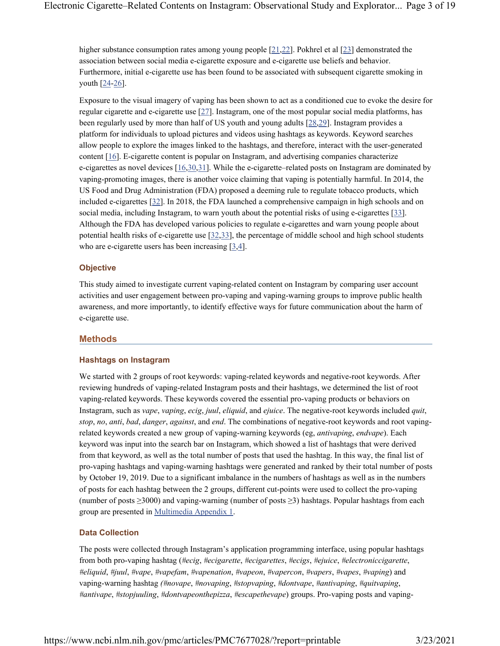higher substance consumption rates among young people [21,22]. Pokhrel et al [23] demonstrated the association between social media e-cigarette exposure and e-cigarette use beliefs and behavior. Furthermore, initial e-cigarette use has been found to be associated with subsequent cigarette smoking in youth [24-26].

Exposure to the visual imagery of vaping has been shown to act as a conditioned cue to evoke the desire for regular cigarette and e-cigarette use [27]. Instagram, one of the most popular social media platforms, has been regularly used by more than half of US youth and young adults [28,29]. Instagram provides a platform for individuals to upload pictures and videos using hashtags as keywords. Keyword searches allow people to explore the images linked to the hashtags, and therefore, interact with the user-generated content [16]. E-cigarette content is popular on Instagram, and advertising companies characterize e-cigarettes as novel devices [16,30,31]. While the e-cigarette–related posts on Instagram are dominated by vaping-promoting images, there is another voice claiming that vaping is potentially harmful. In 2014, the US Food and Drug Administration (FDA) proposed a deeming rule to regulate tobacco products, which included e-cigarettes [32]. In 2018, the FDA launched a comprehensive campaign in high schools and on social media, including Instagram, to warn youth about the potential risks of using e-cigarettes [33]. Although the FDA has developed various policies to regulate e-cigarettes and warn young people about potential health risks of e-cigarette use [32,33], the percentage of middle school and high school students who are e-cigarette users has been increasing  $[3,4]$ .

# **Objective**

This study aimed to investigate current vaping-related content on Instagram by comparing user account activities and user engagement between pro-vaping and vaping-warning groups to improve public health awareness, and more importantly, to identify effective ways for future communication about the harm of e-cigarette use.

# Methods

#### Hashtags on Instagram

We started with 2 groups of root keywords: vaping-related keywords and negative-root keywords. After reviewing hundreds of vaping-related Instagram posts and their hashtags, we determined the list of root vaping-related keywords. These keywords covered the essential pro-vaping products or behaviors on Instagram, such as vape, vaping, ecig, juul, eliquid, and ejuice. The negative-root keywords included quit, stop, no, anti, bad, danger, against, and end. The combinations of negative-root keywords and root vapingrelated keywords created a new group of vaping-warning keywords (eg, antivaping, endvape). Each keyword was input into the search bar on Instagram, which showed a list of hashtags that were derived from that keyword, as well as the total number of posts that used the hashtag. In this way, the final list of pro-vaping hashtags and vaping-warning hashtags were generated and ranked by their total number of posts by October 19, 2019. Due to a significant imbalance in the numbers of hashtags as well as in the numbers of posts for each hashtag between the 2 groups, different cut-points were used to collect the pro-vaping (number of posts ≥3000) and vaping-warning (number of posts ≥3) hashtags. Popular hashtags from each group are presented in Multimedia Appendix 1.

# Data Collection

The posts were collected through Instagram's application programming interface, using popular hashtags from both pro-vaping hashtag (#ecig, #ecigarette, #ecigarettes, #ecigs, #ejuice, #electroniccigarette, #eliquid, #juul, #vape, #vapefam, #vapenation, #vapeon, #vapercon, #vapers, #vapes, #vaping) and vaping-warning hashtag (#novape, #novaping, #stopvaping, #dontvape, #antivaping, #quitvaping, #antivape, #stopjuuling, #dontvapeonthepizza, #escapethevape) groups. Pro-vaping posts and vaping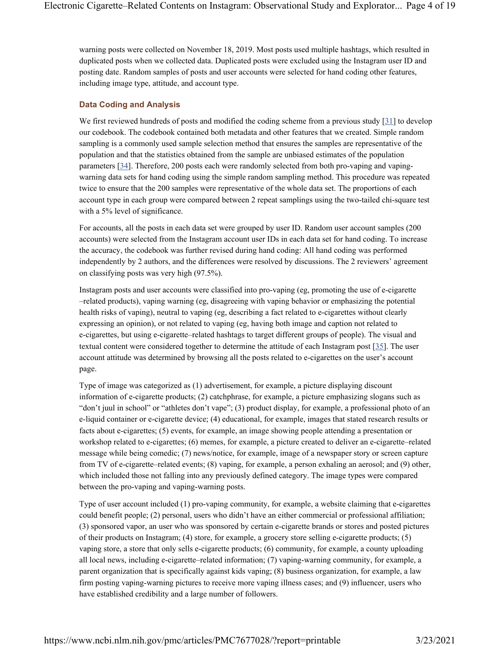warning posts were collected on November 18, 2019. Most posts used multiple hashtags, which resulted in duplicated posts when we collected data. Duplicated posts were excluded using the Instagram user ID and posting date. Random samples of posts and user accounts were selected for hand coding other features, including image type, attitude, and account type.

# Data Coding and Analysis

We first reviewed hundreds of posts and modified the coding scheme from a previous study [31] to develop our codebook. The codebook contained both metadata and other features that we created. Simple random sampling is a commonly used sample selection method that ensures the samples are representative of the population and that the statistics obtained from the sample are unbiased estimates of the population parameters [34]. Therefore, 200 posts each were randomly selected from both pro-vaping and vapingwarning data sets for hand coding using the simple random sampling method. This procedure was repeated twice to ensure that the 200 samples were representative of the whole data set. The proportions of each account type in each group were compared between 2 repeat samplings using the two-tailed chi-square test with a 5% level of significance.

For accounts, all the posts in each data set were grouped by user ID. Random user account samples (200 accounts) were selected from the Instagram account user IDs in each data set for hand coding. To increase the accuracy, the codebook was further revised during hand coding: All hand coding was performed independently by 2 authors, and the differences were resolved by discussions. The 2 reviewers' agreement on classifying posts was very high (97.5%).

Instagram posts and user accounts were classified into pro-vaping (eg, promoting the use of e-cigarette –related products), vaping warning (eg, disagreeing with vaping behavior or emphasizing the potential health risks of vaping), neutral to vaping (eg, describing a fact related to e-cigarettes without clearly expressing an opinion), or not related to vaping (eg, having both image and caption not related to e-cigarettes, but using e-cigarette–related hashtags to target different groups of people). The visual and textual content were considered together to determine the attitude of each Instagram post [35]. The user account attitude was determined by browsing all the posts related to e-cigarettes on the user's account page.

Type of image was categorized as (1) advertisement, for example, a picture displaying discount information of e-cigarette products; (2) catchphrase, for example, a picture emphasizing slogans such as "don't juul in school" or "athletes don't vape"; (3) product display, for example, a professional photo of an e-liquid container or e-cigarette device; (4) educational, for example, images that stated research results or facts about e-cigarettes; (5) events, for example, an image showing people attending a presentation or workshop related to e-cigarettes; (6) memes, for example, a picture created to deliver an e-cigarette–related message while being comedic; (7) news/notice, for example, image of a newspaper story or screen capture from TV of e-cigarette–related events; (8) vaping, for example, a person exhaling an aerosol; and (9) other, which included those not falling into any previously defined category. The image types were compared between the pro-vaping and vaping-warning posts.

Type of user account included (1) pro-vaping community, for example, a website claiming that e-cigarettes could benefit people; (2) personal, users who didn't have an either commercial or professional affiliation; (3) sponsored vapor, an user who was sponsored by certain e-cigarette brands or stores and posted pictures of their products on Instagram; (4) store, for example, a grocery store selling e-cigarette products; (5) vaping store, a store that only sells e-cigarette products; (6) community, for example, a county uploading all local news, including e-cigarette–related information; (7) vaping-warning community, for example, a parent organization that is specifically against kids vaping; (8) business organization, for example, a law firm posting vaping-warning pictures to receive more vaping illness cases; and (9) influencer, users who have established credibility and a large number of followers.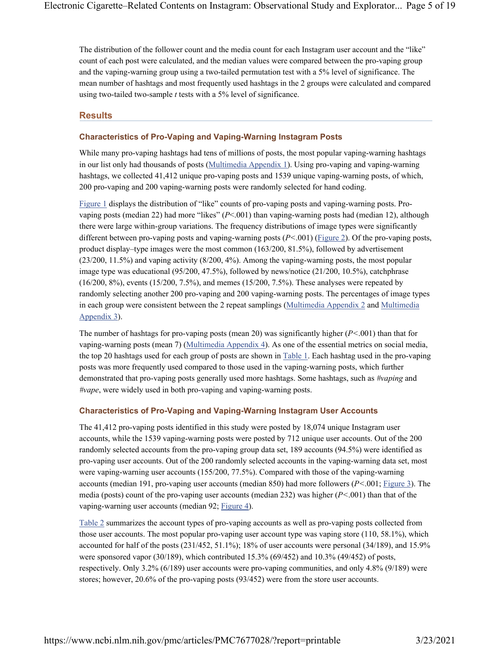The distribution of the follower count and the media count for each Instagram user account and the "like" count of each post were calculated, and the median values were compared between the pro-vaping group and the vaping-warning group using a two-tailed permutation test with a 5% level of significance. The mean number of hashtags and most frequently used hashtags in the 2 groups were calculated and compared using two-tailed two-sample  $t$  tests with a 5% level of significance.

# **Results**

# Characteristics of Pro-Vaping and Vaping-Warning Instagram Posts

While many pro-vaping hashtags had tens of millions of posts, the most popular vaping-warning hashtags in our list only had thousands of posts (Multimedia Appendix 1). Using pro-vaping and vaping-warning hashtags, we collected 41,412 unique pro-vaping posts and 1539 unique vaping-warning posts, of which, 200 pro-vaping and 200 vaping-warning posts were randomly selected for hand coding.

Figure 1 displays the distribution of "like" counts of pro-vaping posts and vaping-warning posts. Provaping posts (median 22) had more "likes" (P<.001) than vaping-warning posts had (median 12), although there were large within-group variations. The frequency distributions of image types were significantly different between pro-vaping posts and vaping-warning posts  $(P < 0.01)$  (Figure 2). Of the pro-vaping posts, product display–type images were the most common (163/200, 81.5%), followed by advertisement (23/200, 11.5%) and vaping activity (8/200, 4%). Among the vaping-warning posts, the most popular image type was educational (95/200, 47.5%), followed by news/notice (21/200, 10.5%), catchphrase (16/200, 8%), events (15/200, 7.5%), and memes (15/200, 7.5%). These analyses were repeated by randomly selecting another 200 pro-vaping and 200 vaping-warning posts. The percentages of image types in each group were consistent between the 2 repeat samplings (Multimedia Appendix 2 and Multimedia Appendix 3).

The number of hashtags for pro-vaping posts (mean 20) was significantly higher ( $P < .001$ ) than that for vaping-warning posts (mean 7) (Multimedia Appendix 4). As one of the essential metrics on social media, the top 20 hashtags used for each group of posts are shown in Table 1. Each hashtag used in the pro-vaping posts was more frequently used compared to those used in the vaping-warning posts, which further demonstrated that pro-vaping posts generally used more hashtags. Some hashtags, such as #vaping and #vape, were widely used in both pro-vaping and vaping-warning posts.

# Characteristics of Pro-Vaping and Vaping-Warning Instagram User Accounts

The 41,412 pro-vaping posts identified in this study were posted by 18,074 unique Instagram user accounts, while the 1539 vaping-warning posts were posted by 712 unique user accounts. Out of the 200 randomly selected accounts from the pro-vaping group data set, 189 accounts (94.5%) were identified as pro-vaping user accounts. Out of the 200 randomly selected accounts in the vaping-warning data set, most were vaping-warning user accounts (155/200, 77.5%). Compared with those of the vaping-warning accounts (median 191, pro-vaping user accounts (median 850) had more followers  $(P<.001$ ; Figure 3). The media (posts) count of the pro-vaping user accounts (median 232) was higher ( $P < .001$ ) than that of the vaping-warning user accounts (median 92; Figure 4).

Table 2 summarizes the account types of pro-vaping accounts as well as pro-vaping posts collected from those user accounts. The most popular pro-vaping user account type was vaping store (110, 58.1%), which accounted for half of the posts (231/452, 51.1%); 18% of user accounts were personal (34/189), and 15.9% were sponsored vapor (30/189), which contributed 15.3% (69/452) and 10.3% (49/452) of posts, respectively. Only 3.2% (6/189) user accounts were pro-vaping communities, and only 4.8% (9/189) were stores; however, 20.6% of the pro-vaping posts (93/452) were from the store user accounts.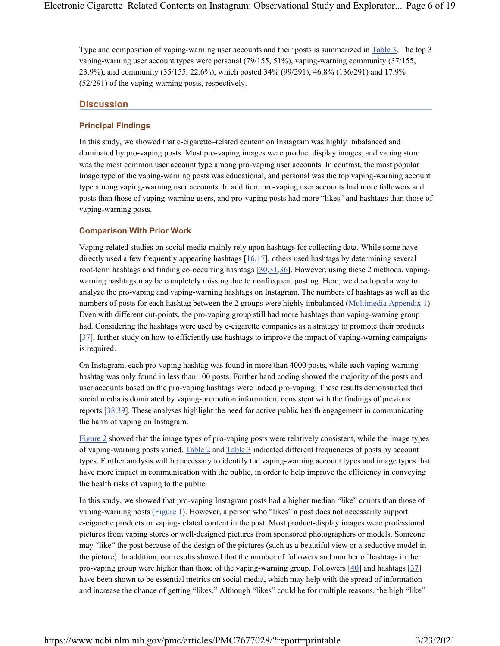Type and composition of vaping-warning user accounts and their posts is summarized in Table 3. The top 3 vaping-warning user account types were personal (79/155, 51%), vaping-warning community (37/155, 23.9%), and community (35/155, 22.6%), which posted 34% (99/291), 46.8% (136/291) and 17.9% (52/291) of the vaping-warning posts, respectively.

# **Discussion**

# Principal Findings

In this study, we showed that e-cigarette–related content on Instagram was highly imbalanced and dominated by pro-vaping posts. Most pro-vaping images were product display images, and vaping store was the most common user account type among pro-vaping user accounts. In contrast, the most popular image type of the vaping-warning posts was educational, and personal was the top vaping-warning account type among vaping-warning user accounts. In addition, pro-vaping user accounts had more followers and posts than those of vaping-warning users, and pro-vaping posts had more "likes" and hashtags than those of vaping-warning posts.

# Comparison With Prior Work

Vaping-related studies on social media mainly rely upon hashtags for collecting data. While some have directly used a few frequently appearing hashtags  $[16,17]$ , others used hashtags by determining several root-term hashtags and finding co-occurring hashtags [30,31,36]. However, using these 2 methods, vapingwarning hashtags may be completely missing due to nonfrequent posting. Here, we developed a way to analyze the pro-vaping and vaping-warning hashtags on Instagram. The numbers of hashtags as well as the numbers of posts for each hashtag between the 2 groups were highly imbalanced (Multimedia Appendix 1). Even with different cut-points, the pro-vaping group still had more hashtags than vaping-warning group had. Considering the hashtags were used by e-cigarette companies as a strategy to promote their products [37], further study on how to efficiently use hashtags to improve the impact of vaping-warning campaigns is required.

On Instagram, each pro-vaping hashtag was found in more than 4000 posts, while each vaping-warning hashtag was only found in less than 100 posts. Further hand coding showed the majority of the posts and user accounts based on the pro-vaping hashtags were indeed pro-vaping. These results demonstrated that social media is dominated by vaping-promotion information, consistent with the findings of previous reports [38,39]. These analyses highlight the need for active public health engagement in communicating the harm of vaping on Instagram.

Figure 2 showed that the image types of pro-vaping posts were relatively consistent, while the image types of vaping-warning posts varied. Table 2 and Table 3 indicated different frequencies of posts by account types. Further analysis will be necessary to identify the vaping-warning account types and image types that have more impact in communication with the public, in order to help improve the efficiency in conveying the health risks of vaping to the public.

In this study, we showed that pro-vaping Instagram posts had a higher median "like" counts than those of vaping-warning posts (Figure 1). However, a person who "likes" a post does not necessarily support e-cigarette products or vaping-related content in the post. Most product-display images were professional pictures from vaping stores or well-designed pictures from sponsored photographers or models. Someone may "like" the post because of the design of the pictures (such as a beautiful view or a seductive model in the picture). In addition, our results showed that the number of followers and number of hashtags in the pro-vaping group were higher than those of the vaping-warning group. Followers [40] and hashtags [37] have been shown to be essential metrics on social media, which may help with the spread of information and increase the chance of getting "likes." Although "likes" could be for multiple reasons, the high "like"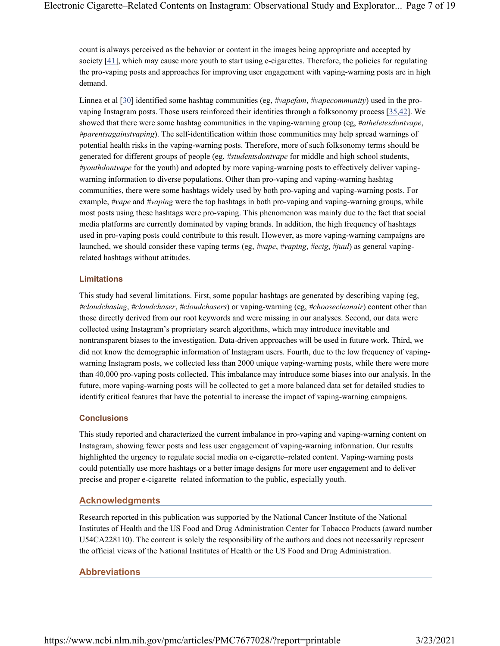count is always perceived as the behavior or content in the images being appropriate and accepted by society [41], which may cause more youth to start using e-cigarettes. Therefore, the policies for regulating the pro-vaping posts and approaches for improving user engagement with vaping-warning posts are in high demand.

Linnea et al [30] identified some hashtag communities (eg,  $\#vapefam$ ,  $\#vapecommunity$ ) used in the provaping Instagram posts. Those users reinforced their identities through a folksonomy process [35,42]. We showed that there were some hashtag communities in the vaping-warning group (eg, #*atheletesdontvape*, #parentsagainstvaping). The self-identification within those communities may help spread warnings of potential health risks in the vaping-warning posts. Therefore, more of such folksonomy terms should be generated for different groups of people (eg, #studentsdontvape for middle and high school students, #youthdontvape for the youth) and adopted by more vaping-warning posts to effectively deliver vapingwarning information to diverse populations. Other than pro-vaping and vaping-warning hashtag communities, there were some hashtags widely used by both pro-vaping and vaping-warning posts. For example, #vape and #vaping were the top hashtags in both pro-vaping and vaping-warning groups, while most posts using these hashtags were pro-vaping. This phenomenon was mainly due to the fact that social media platforms are currently dominated by vaping brands. In addition, the high frequency of hashtags used in pro-vaping posts could contribute to this result. However, as more vaping-warning campaigns are launched, we should consider these vaping terms (eg, #vape, #vaping, #ecig, #juul) as general vapingrelated hashtags without attitudes.

## Limitations

This study had several limitations. First, some popular hashtags are generated by describing vaping (eg, #cloudchasing, #cloudchaser, #cloudchasers) or vaping-warning (eg, #choosecleanair) content other than those directly derived from our root keywords and were missing in our analyses. Second, our data were collected using Instagram's proprietary search algorithms, which may introduce inevitable and nontransparent biases to the investigation. Data-driven approaches will be used in future work. Third, we did not know the demographic information of Instagram users. Fourth, due to the low frequency of vapingwarning Instagram posts, we collected less than 2000 unique vaping-warning posts, while there were more than 40,000 pro-vaping posts collected. This imbalance may introduce some biases into our analysis. In the future, more vaping-warning posts will be collected to get a more balanced data set for detailed studies to identify critical features that have the potential to increase the impact of vaping-warning campaigns.

## **Conclusions**

This study reported and characterized the current imbalance in pro-vaping and vaping-warning content on Instagram, showing fewer posts and less user engagement of vaping-warning information. Our results highlighted the urgency to regulate social media on e-cigarette–related content. Vaping-warning posts could potentially use more hashtags or a better image designs for more user engagement and to deliver precise and proper e-cigarette–related information to the public, especially youth.

# Acknowledgments

Research reported in this publication was supported by the National Cancer Institute of the National Institutes of Health and the US Food and Drug Administration Center for Tobacco Products (award number U54CA228110). The content is solely the responsibility of the authors and does not necessarily represent the official views of the National Institutes of Health or the US Food and Drug Administration.

# Abbreviations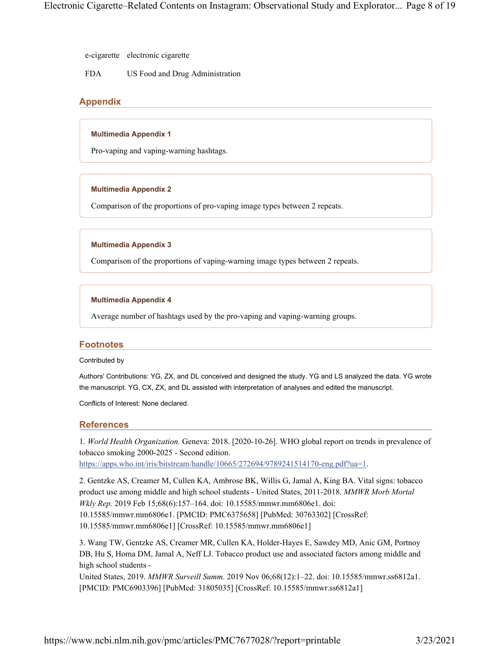e-cigarette electronic cigarette

FDA US Food and Drug Administration

# Appendix

## Multimedia Appendix 1

Pro-vaping and vaping-warning hashtags.

## Multimedia Appendix 2

Comparison of the proportions of pro-vaping image types between 2 repeats.

## Multimedia Appendix 3

Comparison of the proportions of vaping-warning image types between 2 repeats.

## Multimedia Appendix 4

Average number of hashtags used by the pro-vaping and vaping-warning groups.

# **Footnotes**

#### Contributed by

Authors' Contributions: YG, ZX, and DL conceived and designed the study. YG and LS analyzed the data. YG wrote the manuscript. YG, CX, ZX, and DL assisted with interpretation of analyses and edited the manuscript.

Conflicts of Interest: None declared.

# References

1. World Health Organization. Geneva: 2018. [2020-10-26]. WHO global report on trends in prevalence of tobacco smoking 2000-2025 - Second edition.

https://apps.who.int/iris/bitstream/handle/10665/272694/9789241514170-eng.pdf?ua=1.

2. Gentzke AS, Creamer M, Cullen KA, Ambrose BK, Willis G, Jamal A, King BA. Vital signs: tobacco product use among middle and high school students - United States, 2011-2018. MMWR Morb Mortal Wkly Rep. 2019 Feb 15;68(6):157–164. doi: 10.15585/mmwr.mm6806e1. doi: 10.15585/mmwr.mm6806e1. [PMCID: PMC6375658] [PubMed: 30763302] [CrossRef: 10.15585/mmwr.mm6806e1] [CrossRef: 10.15585/mmwr.mm6806e1]

3. Wang TW, Gentzke AS, Creamer MR, Cullen KA, Holder-Hayes E, Sawdey MD, Anic GM, Portnoy DB, Hu S, Homa DM, Jamal A, Neff LJ. Tobacco product use and associated factors among middle and high school students -

United States, 2019. MMWR Surveill Summ. 2019 Nov 06;68(12):1–22. doi: 10.15585/mmwr.ss6812a1. [PMCID: PMC6903396] [PubMed: 31805035] [CrossRef: 10.15585/mmwr.ss6812a1]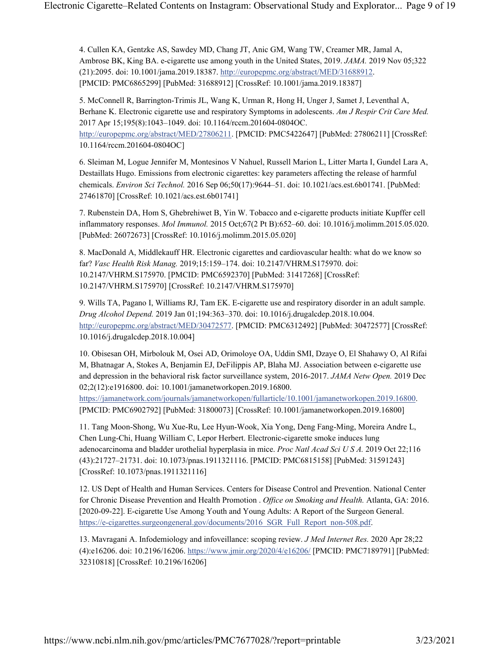4. Cullen KA, Gentzke AS, Sawdey MD, Chang JT, Anic GM, Wang TW, Creamer MR, Jamal A, Ambrose BK, King BA. e-cigarette use among youth in the United States, 2019. JAMA. 2019 Nov 05;322 (21):2095. doi: 10.1001/jama.2019.18387. http://europepmc.org/abstract/MED/31688912. [PMCID: PMC6865299] [PubMed: 31688912] [CrossRef: 10.1001/jama.2019.18387]

5. McConnell R, Barrington-Trimis JL, Wang K, Urman R, Hong H, Unger J, Samet J, Leventhal A, Berhane K. Electronic cigarette use and respiratory Symptoms in adolescents. Am J Respir Crit Care Med. 2017 Apr 15;195(8):1043–1049. doi: 10.1164/rccm.201604-0804OC.

http://europepmc.org/abstract/MED/27806211. [PMCID: PMC5422647] [PubMed: 27806211] [CrossRef: 10.1164/rccm.201604-0804OC]

6. Sleiman M, Logue Jennifer M, Montesinos V Nahuel, Russell Marion L, Litter Marta I, Gundel Lara A, Destaillats Hugo. Emissions from electronic cigarettes: key parameters affecting the release of harmful chemicals. Environ Sci Technol. 2016 Sep 06;50(17):9644–51. doi: 10.1021/acs.est.6b01741. [PubMed: 27461870] [CrossRef: 10.1021/acs.est.6b01741]

7. Rubenstein DA, Hom S, Ghebrehiwet B, Yin W. Tobacco and e-cigarette products initiate Kupffer cell inflammatory responses. Mol Immunol. 2015 Oct;67(2 Pt B):652–60. doi: 10.1016/j.molimm.2015.05.020. [PubMed: 26072673] [CrossRef: 10.1016/j.molimm.2015.05.020]

8. MacDonald A, Middlekauff HR. Electronic cigarettes and cardiovascular health: what do we know so far? Vasc Health Risk Manag. 2019;15:159–174. doi: 10.2147/VHRM.S175970. doi: 10.2147/VHRM.S175970. [PMCID: PMC6592370] [PubMed: 31417268] [CrossRef: 10.2147/VHRM.S175970] [CrossRef: 10.2147/VHRM.S175970]

9. Wills TA, Pagano I, Williams RJ, Tam EK. E-cigarette use and respiratory disorder in an adult sample. Drug Alcohol Depend. 2019 Jan 01;194:363–370. doi: 10.1016/j.drugalcdep.2018.10.004. http://europepmc.org/abstract/MED/30472577. [PMCID: PMC6312492] [PubMed: 30472577] [CrossRef: 10.1016/j.drugalcdep.2018.10.004]

10. Obisesan OH, Mirbolouk M, Osei AD, Orimoloye OA, Uddin SMI, Dzaye O, El Shahawy O, Al Rifai M, Bhatnagar A, Stokes A, Benjamin EJ, DeFilippis AP, Blaha MJ. Association between e-cigarette use and depression in the behavioral risk factor surveillance system, 2016-2017. JAMA Netw Open. 2019 Dec 02;2(12):e1916800. doi: 10.1001/jamanetworkopen.2019.16800.

https://jamanetwork.com/journals/jamanetworkopen/fullarticle/10.1001/jamanetworkopen.2019.16800. [PMCID: PMC6902792] [PubMed: 31800073] [CrossRef: 10.1001/jamanetworkopen.2019.16800]

11. Tang Moon-Shong, Wu Xue-Ru, Lee Hyun-Wook, Xia Yong, Deng Fang-Ming, Moreira Andre L, Chen Lung-Chi, Huang William C, Lepor Herbert. Electronic-cigarette smoke induces lung adenocarcinoma and bladder urothelial hyperplasia in mice. Proc Natl Acad Sci U S A. 2019 Oct 22;116 (43):21727–21731. doi: 10.1073/pnas.1911321116. [PMCID: PMC6815158] [PubMed: 31591243] [CrossRef: 10.1073/pnas.1911321116]

12. US Dept of Health and Human Services. Centers for Disease Control and Prevention. National Center for Chronic Disease Prevention and Health Promotion . Office on Smoking and Health. Atlanta, GA: 2016. [2020-09-22]. E-cigarette Use Among Youth and Young Adults: A Report of the Surgeon General. https://e-cigarettes.surgeongeneral.gov/documents/2016\_SGR\_Full\_Report\_non-508.pdf.

13. Mavragani A. Infodemiology and infoveillance: scoping review. J Med Internet Res. 2020 Apr 28;22 (4):e16206. doi: 10.2196/16206. https://www.jmir.org/2020/4/e16206/ [PMCID: PMC7189791] [PubMed: 32310818] [CrossRef: 10.2196/16206]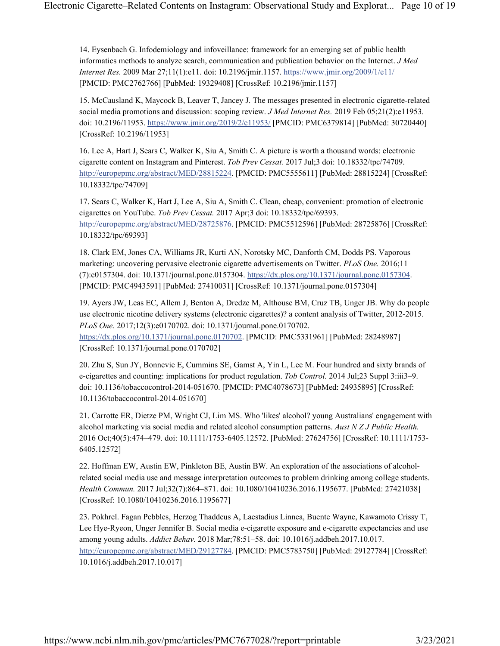14. Eysenbach G. Infodemiology and infoveillance: framework for an emerging set of public health informatics methods to analyze search, communication and publication behavior on the Internet. J Med Internet Res. 2009 Mar 27;11(1):e11. doi: 10.2196/jmir.1157. https://www.jmir.org/2009/1/e11/ [PMCID: PMC2762766] [PubMed: 19329408] [CrossRef: 10.2196/jmir.1157]

15. McCausland K, Maycock B, Leaver T, Jancey J. The messages presented in electronic cigarette-related social media promotions and discussion: scoping review. J Med Internet Res. 2019 Feb 05;21(2):e11953. doi: 10.2196/11953. https://www.jmir.org/2019/2/e11953/ [PMCID: PMC6379814] [PubMed: 30720440] [CrossRef: 10.2196/11953]

16. Lee A, Hart J, Sears C, Walker K, Siu A, Smith C. A picture is worth a thousand words: electronic cigarette content on Instagram and Pinterest. Tob Prev Cessat. 2017 Jul;3 doi: 10.18332/tpc/74709. http://europepmc.org/abstract/MED/28815224. [PMCID: PMC5555611] [PubMed: 28815224] [CrossRef: 10.18332/tpc/74709]

17. Sears C, Walker K, Hart J, Lee A, Siu A, Smith C. Clean, cheap, convenient: promotion of electronic cigarettes on YouTube. Tob Prev Cessat. 2017 Apr;3 doi: 10.18332/tpc/69393. http://europepmc.org/abstract/MED/28725876. [PMCID: PMC5512596] [PubMed: 28725876] [CrossRef: 10.18332/tpc/69393]

18. Clark EM, Jones CA, Williams JR, Kurti AN, Norotsky MC, Danforth CM, Dodds PS. Vaporous marketing: uncovering pervasive electronic cigarette advertisements on Twitter. PLoS One. 2016;11 (7):e0157304. doi: 10.1371/journal.pone.0157304. https://dx.plos.org/10.1371/journal.pone.0157304. [PMCID: PMC4943591] [PubMed: 27410031] [CrossRef: 10.1371/journal.pone.0157304]

19. Ayers JW, Leas EC, Allem J, Benton A, Dredze M, Althouse BM, Cruz TB, Unger JB. Why do people use electronic nicotine delivery systems (electronic cigarettes)? a content analysis of Twitter, 2012-2015. PLoS One. 2017;12(3):e0170702. doi: 10.1371/journal.pone.0170702. https://dx.plos.org/10.1371/journal.pone.0170702. [PMCID: PMC5331961] [PubMed: 28248987] [CrossRef: 10.1371/journal.pone.0170702]

20. Zhu S, Sun JY, Bonnevie E, Cummins SE, Gamst A, Yin L, Lee M. Four hundred and sixty brands of e-cigarettes and counting: implications for product regulation. Tob Control. 2014 Jul;23 Suppl 3:iii3–9. doi: 10.1136/tobaccocontrol-2014-051670. [PMCID: PMC4078673] [PubMed: 24935895] [CrossRef: 10.1136/tobaccocontrol-2014-051670]

21. Carrotte ER, Dietze PM, Wright CJ, Lim MS. Who 'likes' alcohol? young Australians' engagement with alcohol marketing via social media and related alcohol consumption patterns. Aust N Z J Public Health. 2016 Oct;40(5):474–479. doi: 10.1111/1753-6405.12572. [PubMed: 27624756] [CrossRef: 10.1111/1753- 6405.12572]

22. Hoffman EW, Austin EW, Pinkleton BE, Austin BW. An exploration of the associations of alcoholrelated social media use and message interpretation outcomes to problem drinking among college students. Health Commun. 2017 Jul;32(7):864–871. doi: 10.1080/10410236.2016.1195677. [PubMed: 27421038] [CrossRef: 10.1080/10410236.2016.1195677]

23. Pokhrel. Fagan Pebbles, Herzog Thaddeus A, Laestadius Linnea, Buente Wayne, Kawamoto Crissy T, Lee Hye-Ryeon, Unger Jennifer B. Social media e-cigarette exposure and e-cigarette expectancies and use among young adults. Addict Behav. 2018 Mar;78:51–58. doi: 10.1016/j.addbeh.2017.10.017. http://europepmc.org/abstract/MED/29127784. [PMCID: PMC5783750] [PubMed: 29127784] [CrossRef: 10.1016/j.addbeh.2017.10.017]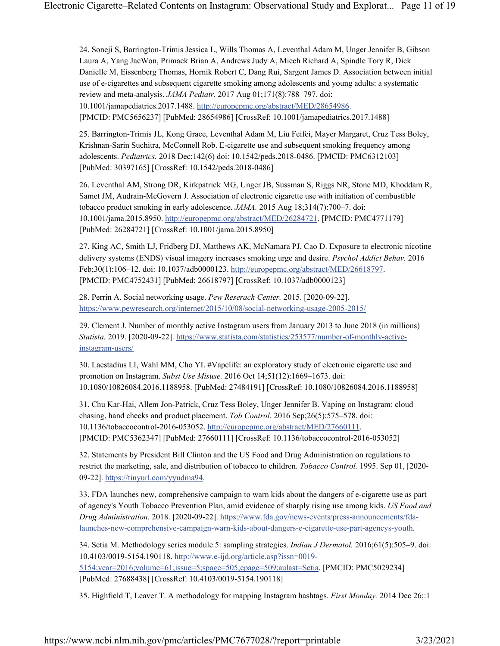24. Soneji S, Barrington-Trimis Jessica L, Wills Thomas A, Leventhal Adam M, Unger Jennifer B, Gibson Laura A, Yang JaeWon, Primack Brian A, Andrews Judy A, Miech Richard A, Spindle Tory R, Dick Danielle M, Eissenberg Thomas, Hornik Robert C, Dang Rui, Sargent James D. Association between initial use of e-cigarettes and subsequent cigarette smoking among adolescents and young adults: a systematic review and meta-analysis. JAMA Pediatr. 2017 Aug 01;171(8):788–797. doi: 10.1001/jamapediatrics.2017.1488. http://europepmc.org/abstract/MED/28654986.

[PMCID: PMC5656237] [PubMed: 28654986] [CrossRef: 10.1001/jamapediatrics.2017.1488]

25. Barrington-Trimis JL, Kong Grace, Leventhal Adam M, Liu Feifei, Mayer Margaret, Cruz Tess Boley, Krishnan-Sarin Suchitra, McConnell Rob. E-cigarette use and subsequent smoking frequency among adolescents. Pediatrics. 2018 Dec;142(6) doi: 10.1542/peds.2018-0486. [PMCID: PMC6312103] [PubMed: 30397165] [CrossRef: 10.1542/peds.2018-0486]

26. Leventhal AM, Strong DR, Kirkpatrick MG, Unger JB, Sussman S, Riggs NR, Stone MD, Khoddam R, Samet JM, Audrain-McGovern J. Association of electronic cigarette use with initiation of combustible tobacco product smoking in early adolescence. JAMA. 2015 Aug 18;314(7):700–7. doi: 10.1001/jama.2015.8950. http://europepmc.org/abstract/MED/26284721. [PMCID: PMC4771179] [PubMed: 26284721] [CrossRef: 10.1001/jama.2015.8950]

27. King AC, Smith LJ, Fridberg DJ, Matthews AK, McNamara PJ, Cao D. Exposure to electronic nicotine delivery systems (ENDS) visual imagery increases smoking urge and desire. Psychol Addict Behav. 2016 Feb;30(1):106–12. doi: 10.1037/adb0000123. http://europepmc.org/abstract/MED/26618797. [PMCID: PMC4752431] [PubMed: 26618797] [CrossRef: 10.1037/adb0000123]

28. Perrin A. Social networking usage. Pew Reserach Center. 2015. [2020-09-22]. https://www.pewresearch.org/internet/2015/10/08/social-networking-usage-2005-2015/

29. Clement J. Number of monthly active Instagram users from January 2013 to June 2018 (in millions) Statista. 2019. [2020-09-22]. https://www.statista.com/statistics/253577/number-of-monthly-activeinstagram-users/

30. Laestadius LI, Wahl MM, Cho YI. #Vapelife: an exploratory study of electronic cigarette use and promotion on Instagram. Subst Use Misuse. 2016 Oct 14;51(12):1669–1673. doi: 10.1080/10826084.2016.1188958. [PubMed: 27484191] [CrossRef: 10.1080/10826084.2016.1188958]

31. Chu Kar-Hai, Allem Jon-Patrick, Cruz Tess Boley, Unger Jennifer B. Vaping on Instagram: cloud chasing, hand checks and product placement. Tob Control. 2016 Sep;26(5):575–578. doi: 10.1136/tobaccocontrol-2016-053052. http://europepmc.org/abstract/MED/27660111. [PMCID: PMC5362347] [PubMed: 27660111] [CrossRef: 10.1136/tobaccocontrol-2016-053052]

32. Statements by President Bill Clinton and the US Food and Drug Administration on regulations to restrict the marketing, sale, and distribution of tobacco to children. Tobacco Control. 1995. Sep 01, [2020- 09-22]. https://tinyurl.com/yyudma94.

33. FDA launches new, comprehensive campaign to warn kids about the dangers of e-cigarette use as part of agency's Youth Tobacco Prevention Plan, amid evidence of sharply rising use among kids. US Food and Drug Administration. 2018. [2020-09-22]. https://www.fda.gov/news-events/press-announcements/fdalaunches-new-comprehensive-campaign-warn-kids-about-dangers-e-cigarette-use-part-agencys-youth.

34. Setia M. Methodology series module 5: sampling strategies. Indian J Dermatol. 2016;61(5):505–9. doi: 10.4103/0019-5154.190118. http://www.e-ijd.org/article.asp?issn=0019- 5154;year=2016;volume=61;issue=5;spage=505;epage=509;aulast=Setia. [PMCID: PMC5029234] [PubMed: 27688438] [CrossRef: 10.4103/0019-5154.190118]

35. Highfield T, Leaver T. A methodology for mapping Instagram hashtags. First Monday. 2014 Dec 26;:1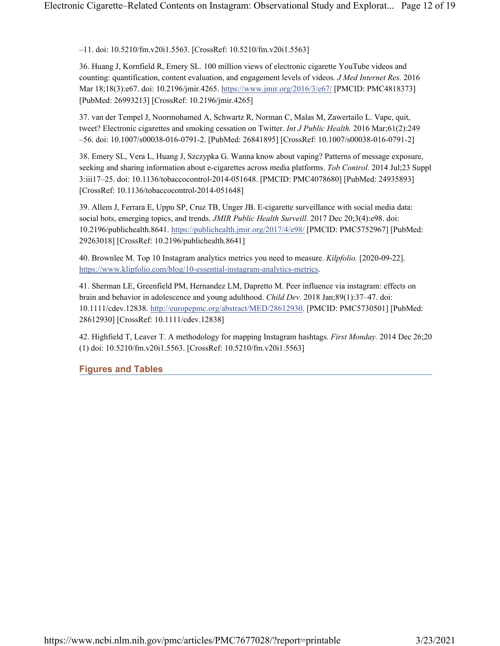–11. doi: 10.5210/fm.v20i1.5563. [CrossRef: 10.5210/fm.v20i1.5563]

36. Huang J, Kornfield R, Emery SL. 100 million views of electronic cigarette YouTube videos and counting: quantification, content evaluation, and engagement levels of videos. J Med Internet Res. 2016 Mar 18;18(3):e67. doi: 10.2196/jmir.4265. https://www.jmir.org/2016/3/e67/ [PMCID: PMC4818373] [PubMed: 26993213] [CrossRef: 10.2196/jmir.4265]

37. van der Tempel J, Noormohamed A, Schwartz R, Norman C, Malas M, Zawertailo L. Vape, quit, tweet? Electronic cigarettes and smoking cessation on Twitter. Int J Public Health. 2016 Mar;61(2):249 –56. doi: 10.1007/s00038-016-0791-2. [PubMed: 26841895] [CrossRef: 10.1007/s00038-016-0791-2]

38. Emery SL, Vera L, Huang J, Szczypka G. Wanna know about vaping? Patterns of message exposure, seeking and sharing information about e-cigarettes across media platforms. Tob Control. 2014 Jul;23 Suppl 3:iii17–25. doi: 10.1136/tobaccocontrol-2014-051648. [PMCID: PMC4078680] [PubMed: 24935893] [CrossRef: 10.1136/tobaccocontrol-2014-051648]

39. Allem J, Ferrara E, Uppu SP, Cruz TB, Unger JB. E-cigarette surveillance with social media data: social bots, emerging topics, and trends. JMIR Public Health Surveill. 2017 Dec 20;3(4):e98. doi: 10.2196/publichealth.8641. https://publichealth.jmir.org/2017/4/e98/ [PMCID: PMC5752967] [PubMed: 29263018] [CrossRef: 10.2196/publichealth.8641]

40. Brownlee M. Top 10 Instagram analytics metrics you need to measure. Kilpfolio. [2020-09-22]. https://www.klipfolio.com/blog/10-essential-instagram-analytics-metrics.

41. Sherman LE, Greenfield PM, Hernandez LM, Dapretto M. Peer influence via instagram: effects on brain and behavior in adolescence and young adulthood. Child Dev. 2018 Jan;89(1):37–47. doi: 10.1111/cdev.12838. http://europepmc.org/abstract/MED/28612930. [PMCID: PMC5730501] [PubMed: 28612930] [CrossRef: 10.1111/cdev.12838]

42. Highfield T, Leaver T. A methodology for mapping Instagram hashtags. First Monday. 2014 Dec 26;20 (1) doi: 10.5210/fm.v20i1.5563. [CrossRef: 10.5210/fm.v20i1.5563]

Figures and Tables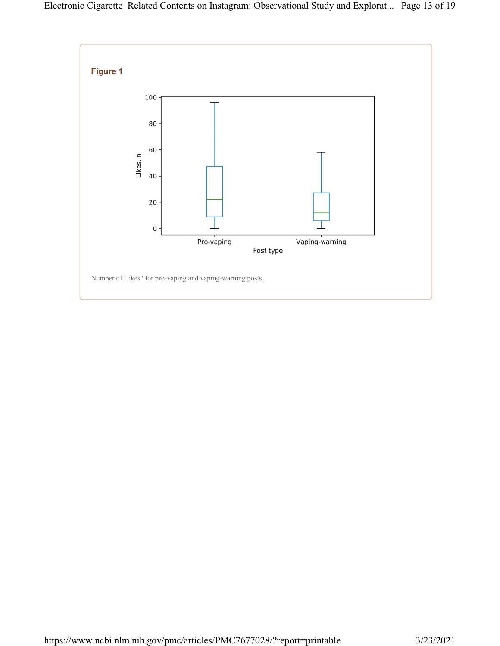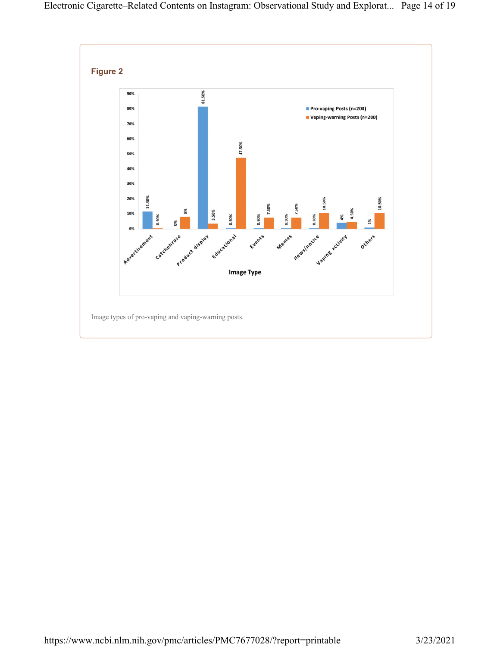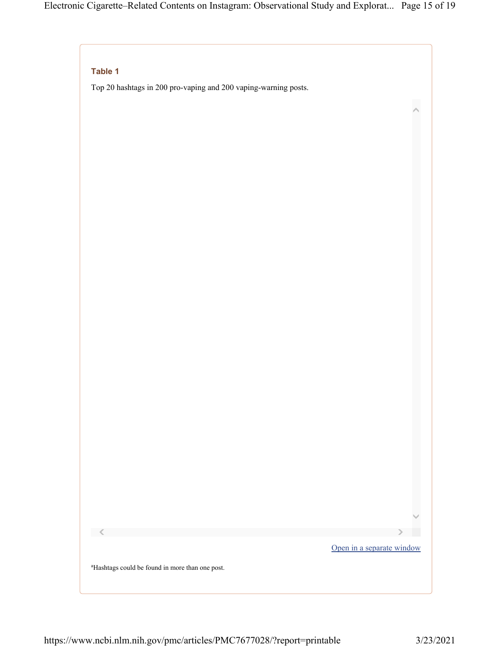# Table 1

Top 20 hashtags in 200 pro-vaping and 200 vaping-warning posts.



 $\hat{\phantom{a}}$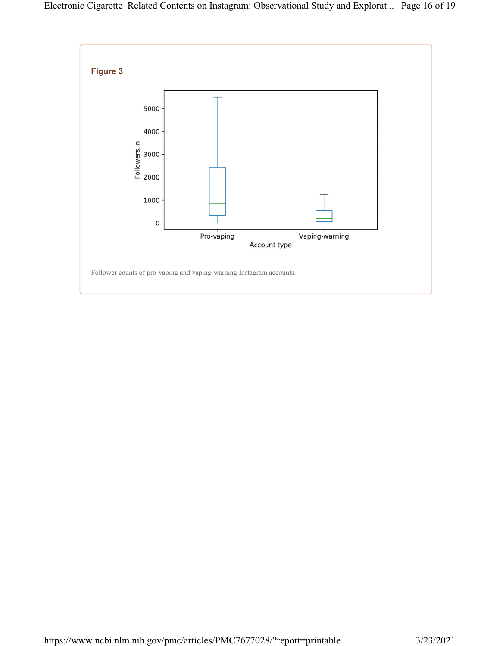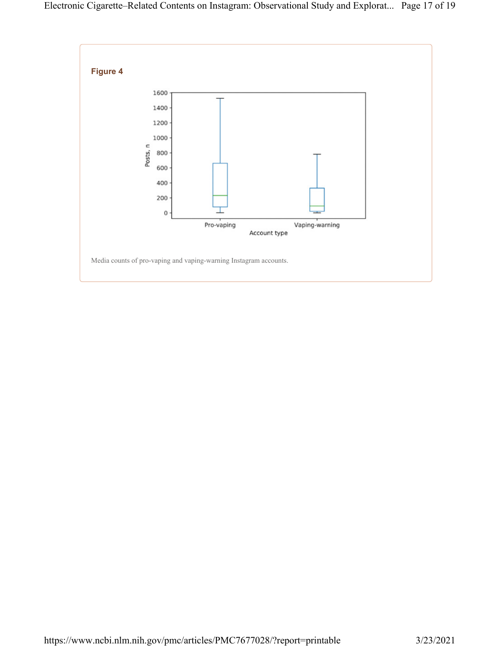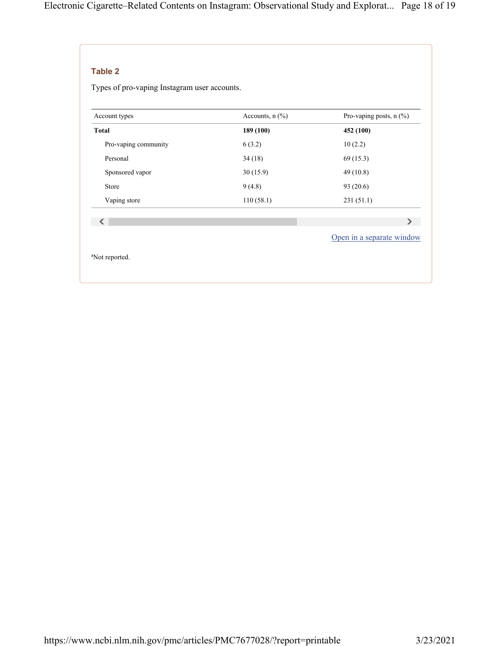# Table 2

Types of pro-vaping Instagram user accounts.

| Accounts, $n$ $(\%)$ | Pro-vaping posts, $n$ (%) |
|----------------------|---------------------------|
| 189 (100)            | 452 (100)                 |
| 6(3.2)               | 10(2.2)                   |
| 34(18)               | 69 (15.3)                 |
| 30(15.9)             | 49 (10.8)                 |
| 9(4.8)               | 93 (20.6)                 |
| 110(58.1)            | 231(51.1)                 |
|                      |                           |
|                      | ⋗                         |
|                      | Open in a separate window |
|                      |                           |